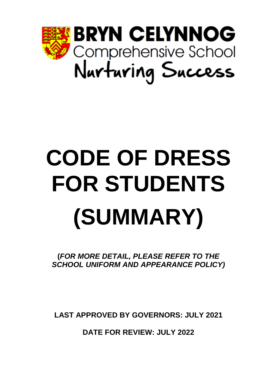

# **CODE OF DRESS FOR STUDENTS (SUMMARY)**

**(***FOR MORE DETAIL, PLEASE REFER TO THE SCHOOL UNIFORM AND APPEARANCE POLICY)*

**LAST APPROVED BY GOVERNORS: JULY 2021**

**DATE FOR REVIEW: JULY 2022**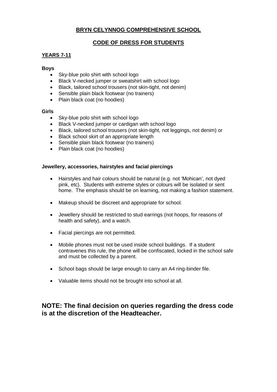## **BRYN CELYNNOG COMPREHENSIVE SCHOOL**

## **CODE OF DRESS FOR STUDENTS**

## **YEARS 7-11**

#### **Boys**

- Sky-blue polo shirt with school logo
- Black V-necked jumper or sweatshirt with school logo
- Black, tailored school trousers (not skin-tight, not denim)
- Sensible plain black footwear (no trainers)
- Plain black coat (no hoodies)

#### **Girls**

- Sky-blue polo shirt with school logo
- Black V-necked jumper or cardigan with school logo
- Black, tailored school trousers (not skin-tight, not leggings, not denim) or
- Black school skirt of an appropriate length
- Sensible plain black footwear (no trainers)
- Plain black coat (no hoodies)

## **Jewellery, accessories, hairstyles and facial piercings**

- Hairstyles and hair colours should be natural (e.g. not 'Mohican', not dyed pink, etc). Students with extreme styles or colours will be isolated or sent home. The emphasis should be on learning, not making a fashion statement.
- Makeup should be discreet and appropriate for school.
- Jewellery should be restricted to stud earrings (not hoops, for reasons of health and safety), and a watch.
- Facial piercings are not permitted.
- Mobile phones must not be used inside school buildings. If a student contravenes this rule, the phone will be confiscated, locked in the school safe and must be collected by a parent.
- School bags should be large enough to carry an A4 ring-binder file.
- Valuable items should not be brought into school at all.

## **NOTE: The final decision on queries regarding the dress code is at the discretion of the Headteacher.**